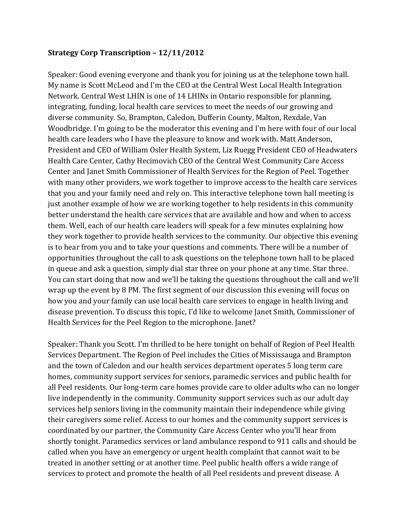## **Strategy Corp Transcription – 12/11/2012**

Speaker: Good evening everyone and thank you for joining us at the telephone town hall. My name is Scott McLeod and I'm the CEO at the Central West Local Health Integration Network. Central West LHIN is one of 14 LHINs in Ontario responsible for planning, integrating, funding, local health care services to meet the needs of our growing and diverse community. So, Brampton, Caledon, Dufferin County, Malton, Rexdale, Van Woodbridge. I'm going to be the moderator this evening and I'm here with four of our local health care leaders who I have the pleasure to know and work with. Matt Anderson, President and CEO of William Osler Health System, Liz Ruegg President CEO of Headwaters Health Care Center, Cathy Hecimovich CEO of the Central West Community Care Access Center and Janet Smith Commissioner of Health Services for the Region of Peel. Together with many other providers, we work together to improve access to the health care services that you and your family need and rely on. This interactive telephone town hall meeting is just another example of how we are working together to help residents in this community better understand the health care services that are available and how and when to access them. Well, each of our health care leaders will speak for a few minutes explaining how they work together to provide health services to the community. Our objective this evening is to hear from you and to take your questions and comments. There will be a number of opportunities throughout the call to ask questions on the telephone town hall to be placed in queue and ask a question, simply dial star three on your phone at any time. Star three. You can start doing that now and we'll be taking the questions throughout the call and we'll wrap up the event by 8 PM. The first segment of our discussion this evening will focus on how you and your family can use local health care services to engage in health living and disease prevention. To discuss this topic, I'd like to welcome Janet Smith, Commissioner of Health Services for the Peel Region to the microphone. Janet?

Speaker: Thank you Scott. I'm thrilled to be here tonight on behalf of Region of Peel Health Services Department. The Region of Peel includes the Cities of Mississauga and Brampton and the town of Caledon and our health services department operates 5 long term care homes, community support services for seniors, paramedic services and public health for all Peel residents. Our long-term care homes provide care to older adults who can no longer live independently in the community. Community support services such as our adult day services help seniors living in the community maintain their independence while giving their caregivers some relief. Access to our homes and the community support services is coordinated by our partner, the Community Care Access Center who you'll hear from shortly tonight. Paramedics services or land ambulance respond to 911 calls and should be called when you have an emergency or urgent health complaint that cannot wait to be treated in another setting or at another time. Peel public health offers a wide range of services to protect and promote the health of all Peel residents and prevent disease. A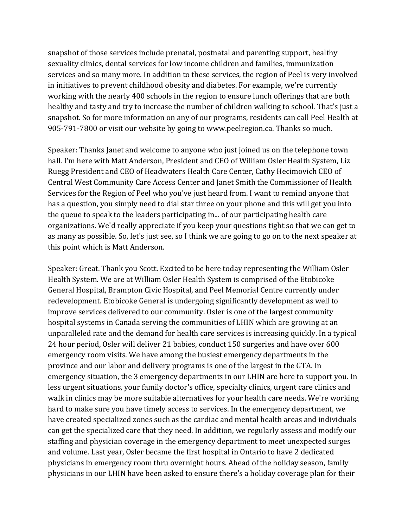snapshot of those services include prenatal, postnatal and parenting support, healthy sexuality clinics, dental services for low income children and families, immunization services and so many more. In addition to these services, the region of Peel is very involved in initiatives to prevent childhood obesity and diabetes. For example, we're currently working with the nearly 400 schools in the region to ensure lunch offerings that are both healthy and tasty and try to increase the number of children walking to school. That's just a snapshot. So for more information on any of our programs, residents can call Peel Health at 905-791-7800 or visit our website by going to www.peelregion.ca. Thanks so much.

Speaker: Thanks Janet and welcome to anyone who just joined us on the telephone town hall. I'm here with Matt Anderson, President and CEO of William Osler Health System, Liz Ruegg President and CEO of Headwaters Health Care Center, Cathy Hecimovich CEO of Central West Community Care Access Center and Janet Smith the Commissioner of Health Services for the Region of Peel who you've just heard from. I want to remind anyone that has a question, you simply need to dial star three on your phone and this will get you into the queue to speak to the leaders participating in... of our participating health care organizations. We'd really appreciate if you keep your questions tight so that we can get to as many as possible. So, let's just see, so I think we are going to go on to the next speaker at this point which is Matt Anderson.

Speaker: Great. Thank you Scott. Excited to be here today representing the William Osler Health System. We are at William Osler Health System is comprised of the Etobicoke General Hospital, Brampton Civic Hospital, and Peel Memorial Centre currently under redevelopment. Etobicoke General is undergoing significantly development as well to improve services delivered to our community. Osler is one of the largest community hospital systems in Canada serving the communities of LHIN which are growing at an unparalleled rate and the demand for health care services is increasing quickly. In a typical 24 hour period, Osler will deliver 21 babies, conduct 150 surgeries and have over 600 emergency room visits. We have among the busiest emergency departments in the province and our labor and delivery programs is one of the largest in the GTA. In emergency situation, the 3 emergency departments in our LHIN are here to support you. In less urgent situations, your family doctor's office, specialty clinics, urgent care clinics and walk in clinics may be more suitable alternatives for your health care needs. We're working hard to make sure you have timely access to services. In the emergency department, we have created specialized zones such as the cardiac and mental health areas and individuals can get the specialized care that they need. In addition, we regularly assess and modify our staffing and physician coverage in the emergency department to meet unexpected surges and volume. Last year, Osler became the first hospital in Ontario to have 2 dedicated physicians in emergency room thru overnight hours. Ahead of the holiday season, family physicians in our LHIN have been asked to ensure there's a holiday coverage plan for their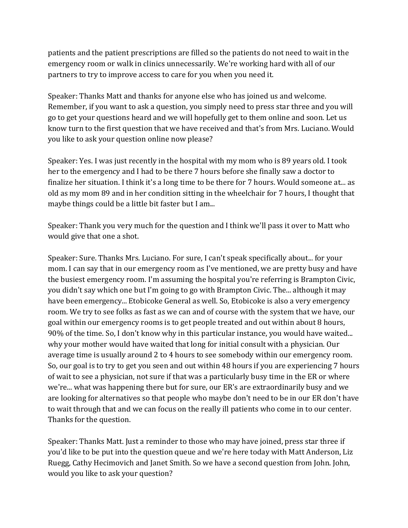patients and the patient prescriptions are filled so the patients do not need to wait in the emergency room or walk in clinics unnecessarily. We're working hard with all of our partners to try to improve access to care for you when you need it.

Speaker: Thanks Matt and thanks for anyone else who has joined us and welcome. Remember, if you want to ask a question, you simply need to press star three and you will go to get your questions heard and we will hopefully get to them online and soon. Let us know turn to the first question that we have received and that's from Mrs. Luciano. Would you like to ask your question online now please?

Speaker: Yes. I was just recently in the hospital with my mom who is 89 years old. I took her to the emergency and I had to be there 7 hours before she finally saw a doctor to finalize her situation. I think it's a long time to be there for 7 hours. Would someone at... as old as my mom 89 and in her condition sitting in the wheelchair for 7 hours, I thought that maybe things could be a little bit faster but I am...

Speaker: Thank you very much for the question and I think we'll pass it over to Matt who would give that one a shot.

Speaker: Sure. Thanks Mrs. Luciano. For sure, I can't speak specifically about... for your mom. I can say that in our emergency room as I've mentioned, we are pretty busy and have the busiest emergency room. I'm assuming the hospital you're referring is Brampton Civic, you didn't say which one but I'm going to go with Brampton Civic. The... although it may have been emergency... Etobicoke General as well. So, Etobicoke is also a very emergency room. We try to see folks as fast as we can and of course with the system that we have, our goal within our emergency rooms is to get people treated and out within about 8 hours, 90% of the time. So, I don't know why in this particular instance, you would have waited... why your mother would have waited that long for initial consult with a physician. Our average time is usually around 2 to 4 hours to see somebody within our emergency room. So, our goal is to try to get you seen and out within 48 hours if you are experiencing 7 hours of wait to see a physician, not sure if that was a particularly busy time in the ER or where we're... what was happening there but for sure, our ER's are extraordinarily busy and we are looking for alternatives so that people who maybe don't need to be in our ER don't have to wait through that and we can focus on the really ill patients who come in to our center. Thanks for the question.

Speaker: Thanks Matt. Just a reminder to those who may have joined, press star three if you'd like to be put into the question queue and we're here today with Matt Anderson, Liz Ruegg, Cathy Hecimovich and Janet Smith. So we have a second question from John. John, would you like to ask your question?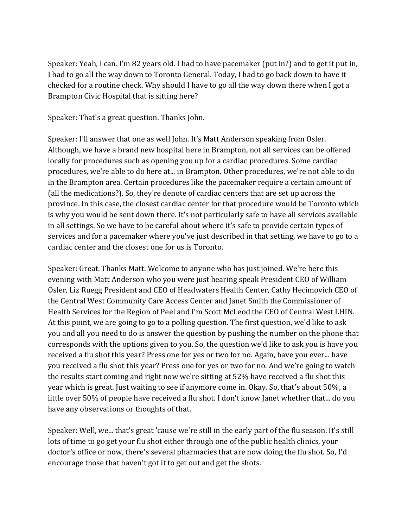Speaker: Yeah, I can. I'm 82 years old. I had to have pacemaker (put in?) and to get it put in, I had to go all the way down to Toronto General. Today, I had to go back down to have it checked for a routine check. Why should I have to go all the way down there when I got a Brampton Civic Hospital that is sitting here?

Speaker: That's a great question. Thanks John.

Speaker: I'll answer that one as well John. It's Matt Anderson speaking from Osler. Although, we have a brand new hospital here in Brampton, not all services can be offered locally for procedures such as opening you up for a cardiac procedures. Some cardiac procedures, we're able to do here at... in Brampton. Other procedures, we're not able to do in the Brampton area. Certain procedures like the pacemaker require a certain amount of (all the medications?). So, they're denote of cardiac centers that are set up across the province. In this case, the closest cardiac center for that procedure would be Toronto which is why you would be sent down there. It's not particularly safe to have all services available in all settings. So we have to be careful about where it's safe to provide certain types of services and for a pacemaker where you've just described in that setting, we have to go to a cardiac center and the closest one for us is Toronto.

Speaker: Great. Thanks Matt. Welcome to anyone who has just joined. We're here this evening with Matt Anderson who you were just hearing speak President CEO of William Osler, Liz Ruegg President and CEO of Headwaters Health Center, Cathy Hecimovich CEO of the Central West Community Care Access Center and Janet Smith the Commissioner of Health Services for the Region of Peel and I'm Scott McLeod the CEO of Central West LHIN. At this point, we are going to go to a polling question. The first question, we'd like to ask you and all you need to do is answer the question by pushing the number on the phone that corresponds with the options given to you. So, the question we'd like to ask you is have you received a flu shot this year? Press one for yes or two for no. Again, have you ever... have you received a flu shot this year? Press one for yes or two for no. And we're going to watch the results start coming and right now we're sitting at 52% have received a flu shot this year which is great. Just waiting to see if anymore come in. Okay. So, that's about 50%, a little over 50% of people have received a flu shot. I don't know Janet whether that... do you have any observations or thoughts of that.

Speaker: Well, we... that's great 'cause we're still in the early part of the flu season. It's still lots of time to go get your flu shot either through one of the public health clinics, your doctor's office or now, there's several pharmacies that are now doing the flu shot. So, I'd encourage those that haven't got it to get out and get the shots.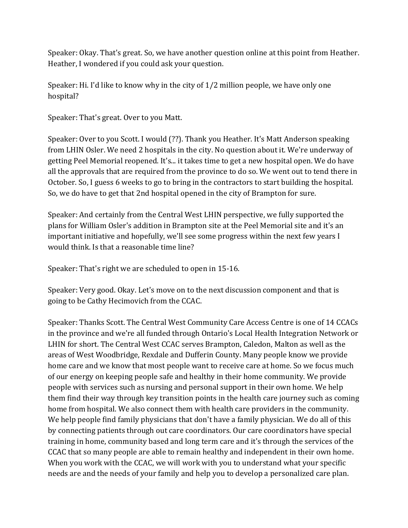Speaker: Okay. That's great. So, we have another question online at this point from Heather. Heather, I wondered if you could ask your question.

Speaker: Hi. I'd like to know why in the city of 1/2 million people, we have only one hospital?

Speaker: That's great. Over to you Matt.

Speaker: Over to you Scott. I would (??). Thank you Heather. It's Matt Anderson speaking from LHIN Osler. We need 2 hospitals in the city. No question about it. We're underway of getting Peel Memorial reopened. It's... it takes time to get a new hospital open. We do have all the approvals that are required from the province to do so. We went out to tend there in October. So, I guess 6 weeks to go to bring in the contractors to start building the hospital. So, we do have to get that 2nd hospital opened in the city of Brampton for sure.

Speaker: And certainly from the Central West LHIN perspective, we fully supported the plans for William Osler's addition in Brampton site at the Peel Memorial site and it's an important initiative and hopefully, we'll see some progress within the next few years I would think. Is that a reasonable time line?

Speaker: That's right we are scheduled to open in 15-16.

Speaker: Very good. Okay. Let's move on to the next discussion component and that is going to be Cathy Hecimovich from the CCAC.

Speaker: Thanks Scott. The Central West Community Care Access Centre is one of 14 CCACs in the province and we're all funded through Ontario's Local Health Integration Network or LHIN for short. The Central West CCAC serves Brampton, Caledon, Malton as well as the areas of West Woodbridge, Rexdale and Dufferin County. Many people know we provide home care and we know that most people want to receive care at home. So we focus much of our energy on keeping people safe and healthy in their home community. We provide people with services such as nursing and personal support in their own home. We help them find their way through key transition points in the health care journey such as coming home from hospital. We also connect them with health care providers in the community. We help people find family physicians that don't have a family physician. We do all of this by connecting patients through out care coordinators. Our care coordinators have special training in home, community based and long term care and it's through the services of the CCAC that so many people are able to remain healthy and independent in their own home. When you work with the CCAC, we will work with you to understand what your specific needs are and the needs of your family and help you to develop a personalized care plan.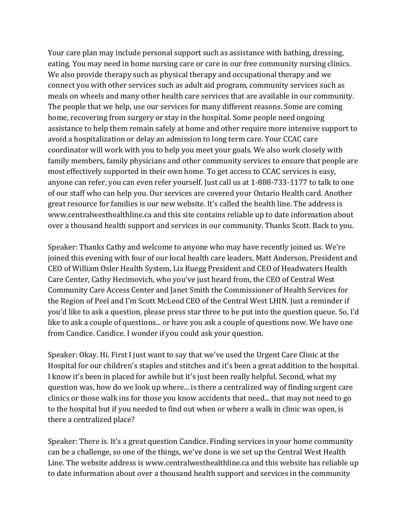Your care plan may include personal support such as assistance with bathing, dressing, eating. You may need in home nursing care or care in our free community nursing clinics. We also provide therapy such as physical therapy and occupational therapy and we connect you with other services such as adult aid program, community services such as meals on wheels and many other health care services that are available in our community. The people that we help, use our services for many different reasons. Some are coming home, recovering from surgery or stay in the hospital. Some people need ongoing assistance to help them remain safely at home and other require more intensive support to avoid a hospitalization or delay an admission to long term care. Your CCAC care coordinator will work with you to help you meet your goals. We also work closely with family members, family physicians and other community services to ensure that people are most effectively supported in their own home. To get access to CCAC services is easy, anyone can refer, you can even refer yourself. Just call us at 1-888-733-1177 to talk to one of our staff who can help you. Our services are covered your Ontario Health card. Another great resource for families is our new website. It's called the health line. The address is www.centralwesthealthline.ca and this site contains reliable up to date information about over a thousand health support and services in our community. Thanks Scott. Back to you.

Speaker: Thanks Cathy and welcome to anyone who may have recently joined us. We're joined this evening with four of our local health care leaders, Matt Anderson, President and CEO of William Osler Health System, Liz Ruegg President and CEO of Headwaters Health Care Center, Cathy Hecimovich, who you've just heard from, the CEO of Central West Community Care Access Center and Janet Smith the Commissioner of Health Services for the Region of Peel and I'm Scott McLeod CEO of the Central West LHIN. Just a reminder if you'd like to ask a question, please press star three to be put into the question queue. So, I'd like to ask a couple of questions... or have you ask a couple of questions now. We have one from Candice. Candice. I wonder if you could ask your question.

Speaker: Okay. Hi. First I just want to say that we've used the Urgent Care Clinic at the Hospital for our children's staples and stitches and it's been a great addition to the hospital. I know it's been in placed for awhile but it's just been really helpful. Second, what my question was, how do we look up where... is there a centralized way of finding urgent care clinics or those walk ins for those you know accidents that need... that may not need to go to the hospital but if you needed to find out when or where a walk in clinic was open, is there a centralized place?

Speaker: There is. It's a great question Candice. Finding services in your home community can be a challenge, so one of the things, we've done is we set up the Central West Health Line. The website address is www.centralwesthealthline.ca and this website has reliable up to date information about over a thousand health support and services in the community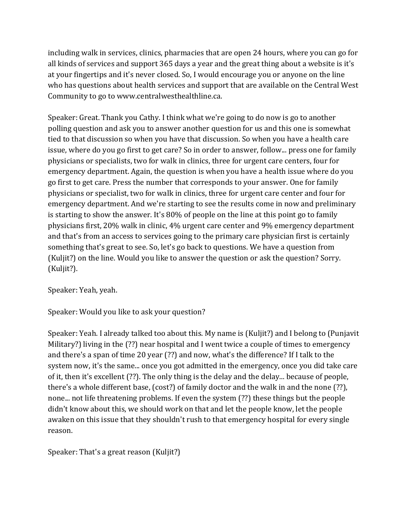including walk in services, clinics, pharmacies that are open 24 hours, where you can go for all kinds of services and support 365 days a year and the great thing about a website is it's at your fingertips and it's never closed. So, I would encourage you or anyone on the line who has questions about health services and support that are available on the Central West Community to go to www.centralwesthealthline.ca.

Speaker: Great. Thank you Cathy. I think what we're going to do now is go to another polling question and ask you to answer another question for us and this one is somewhat tied to that discussion so when you have that discussion. So when you have a health care issue, where do you go first to get care? So in order to answer, follow... press one for family physicians or specialists, two for walk in clinics, three for urgent care centers, four for emergency department. Again, the question is when you have a health issue where do you go first to get care. Press the number that corresponds to your answer. One for family physicians or specialist, two for walk in clinics, three for urgent care center and four for emergency department. And we're starting to see the results come in now and preliminary is starting to show the answer. It's 80% of people on the line at this point go to family physicians first, 20% walk in clinic, 4% urgent care center and 9% emergency department and that's from an access to services going to the primary care physician first is certainly something that's great to see. So, let's go back to questions. We have a question from (Kuljit?) on the line. Would you like to answer the question or ask the question? Sorry. (Kuljit?).

Speaker: Yeah, yeah.

Speaker: Would you like to ask your question?

Speaker: Yeah. I already talked too about this. My name is (Kuljit?) and I belong to (Punjavit Military?) living in the (??) near hospital and I went twice a couple of times to emergency and there's a span of time 20 year (??) and now, what's the difference? If I talk to the system now, it's the same... once you got admitted in the emergency, once you did take care of it, then it's excellent (??). The only thing is the delay and the delay... because of people, there's a whole different base, (cost?) of family doctor and the walk in and the none (??), none... not life threatening problems. If even the system (??) these things but the people didn't know about this, we should work on that and let the people know, let the people awaken on this issue that they shouldn't rush to that emergency hospital for every single reason.

Speaker: That's a great reason (Kuljit?)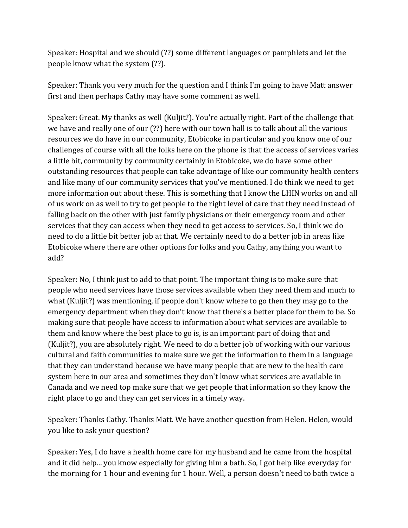Speaker: Hospital and we should (??) some different languages or pamphlets and let the people know what the system (??).

Speaker: Thank you very much for the question and I think I'm going to have Matt answer first and then perhaps Cathy may have some comment as well.

Speaker: Great. My thanks as well (Kuljit?). You're actually right. Part of the challenge that we have and really one of our (??) here with our town hall is to talk about all the various resources we do have in our community, Etobicoke in particular and you know one of our challenges of course with all the folks here on the phone is that the access of services varies a little bit, community by community certainly in Etobicoke, we do have some other outstanding resources that people can take advantage of like our community health centers and like many of our community services that you've mentioned. I do think we need to get more information out about these. This is something that I know the LHIN works on and all of us work on as well to try to get people to the right level of care that they need instead of falling back on the other with just family physicians or their emergency room and other services that they can access when they need to get access to services. So, I think we do need to do a little bit better job at that. We certainly need to do a better job in areas like Etobicoke where there are other options for folks and you Cathy, anything you want to add?

Speaker: No, I think just to add to that point. The important thing is to make sure that people who need services have those services available when they need them and much to what (Kuljit?) was mentioning, if people don't know where to go then they may go to the emergency department when they don't know that there's a better place for them to be. So making sure that people have access to information about what services are available to them and know where the best place to go is, is an important part of doing that and (Kuljit?), you are absolutely right. We need to do a better job of working with our various cultural and faith communities to make sure we get the information to them in a language that they can understand because we have many people that are new to the health care system here in our area and sometimes they don't know what services are available in Canada and we need top make sure that we get people that information so they know the right place to go and they can get services in a timely way.

Speaker: Thanks Cathy. Thanks Matt. We have another question from Helen. Helen, would you like to ask your question?

Speaker: Yes, I do have a health home care for my husband and he came from the hospital and it did help... you know especially for giving him a bath. So, I got help like everyday for the morning for 1 hour and evening for 1 hour. Well, a person doesn't need to bath twice a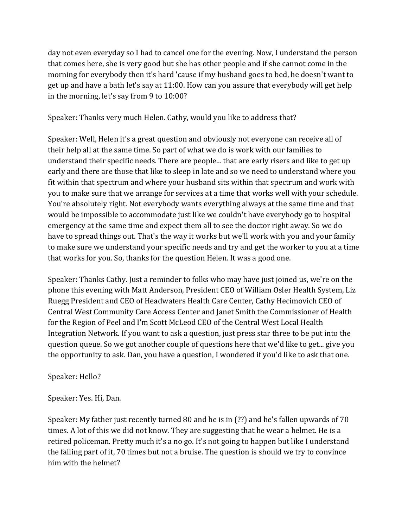day not even everyday so I had to cancel one for the evening. Now, I understand the person that comes here, she is very good but she has other people and if she cannot come in the morning for everybody then it's hard 'cause if my husband goes to bed, he doesn't want to get up and have a bath let's say at 11:00. How can you assure that everybody will get help in the morning, let's say from 9 to 10:00?

Speaker: Thanks very much Helen. Cathy, would you like to address that?

Speaker: Well, Helen it's a great question and obviously not everyone can receive all of their help all at the same time. So part of what we do is work with our families to understand their specific needs. There are people... that are early risers and like to get up early and there are those that like to sleep in late and so we need to understand where you fit within that spectrum and where your husband sits within that spectrum and work with you to make sure that we arrange for services at a time that works well with your schedule. You're absolutely right. Not everybody wants everything always at the same time and that would be impossible to accommodate just like we couldn't have everybody go to hospital emergency at the same time and expect them all to see the doctor right away. So we do have to spread things out. That's the way it works but we'll work with you and your family to make sure we understand your specific needs and try and get the worker to you at a time that works for you. So, thanks for the question Helen. It was a good one.

Speaker: Thanks Cathy. Just a reminder to folks who may have just joined us, we're on the phone this evening with Matt Anderson, President CEO of William Osler Health System, Liz Ruegg President and CEO of Headwaters Health Care Center, Cathy Hecimovich CEO of Central West Community Care Access Center and Janet Smith the Commissioner of Health for the Region of Peel and I'm Scott McLeod CEO of the Central West Local Health Integration Network. If you want to ask a question, just press star three to be put into the question queue. So we got another couple of questions here that we'd like to get... give you the opportunity to ask. Dan, you have a question, I wondered if you'd like to ask that one.

Speaker: Hello?

Speaker: Yes. Hi, Dan.

Speaker: My father just recently turned 80 and he is in (??) and he's fallen upwards of 70 times. A lot of this we did not know. They are suggesting that he wear a helmet. He is a retired policeman. Pretty much it's a no go. It's not going to happen but like I understand the falling part of it, 70 times but not a bruise. The question is should we try to convince him with the helmet?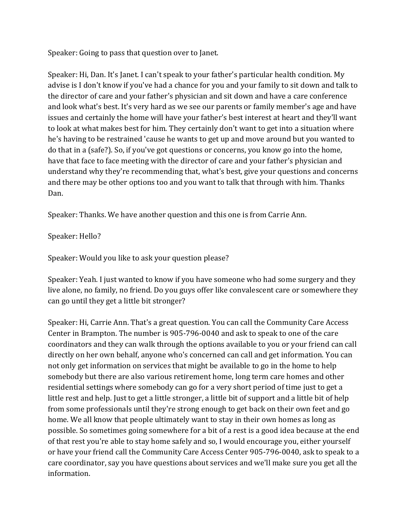Speaker: Going to pass that question over to Janet.

Speaker: Hi, Dan. It's Janet. I can't speak to your father's particular health condition. My advise is I don't know if you've had a chance for you and your family to sit down and talk to the director of care and your father's physician and sit down and have a care conference and look what's best. It's very hard as we see our parents or family member's age and have issues and certainly the home will have your father's best interest at heart and they'll want to look at what makes best for him. They certainly don't want to get into a situation where he's having to be restrained 'cause he wants to get up and move around but you wanted to do that in a (safe?). So, if you've got questions or concerns, you know go into the home, have that face to face meeting with the director of care and your father's physician and understand why they're recommending that, what's best, give your questions and concerns and there may be other options too and you want to talk that through with him. Thanks Dan.

Speaker: Thanks. We have another question and this one is from Carrie Ann.

Speaker: Hello?

Speaker: Would you like to ask your question please?

Speaker: Yeah. I just wanted to know if you have someone who had some surgery and they live alone, no family, no friend. Do you guys offer like convalescent care or somewhere they can go until they get a little bit stronger?

Speaker: Hi, Carrie Ann. That's a great question. You can call the Community Care Access Center in Brampton. The number is 905-796-0040 and ask to speak to one of the care coordinators and they can walk through the options available to you or your friend can call directly on her own behalf, anyone who's concerned can call and get information. You can not only get information on services that might be available to go in the home to help somebody but there are also various retirement home, long term care homes and other residential settings where somebody can go for a very short period of time just to get a little rest and help. Just to get a little stronger, a little bit of support and a little bit of help from some professionals until they're strong enough to get back on their own feet and go home. We all know that people ultimately want to stay in their own homes as long as possible. So sometimes going somewhere for a bit of a rest is a good idea because at the end of that rest you're able to stay home safely and so, I would encourage you, either yourself or have your friend call the Community Care Access Center 905-796-0040, ask to speak to a care coordinator, say you have questions about services and we'll make sure you get all the information.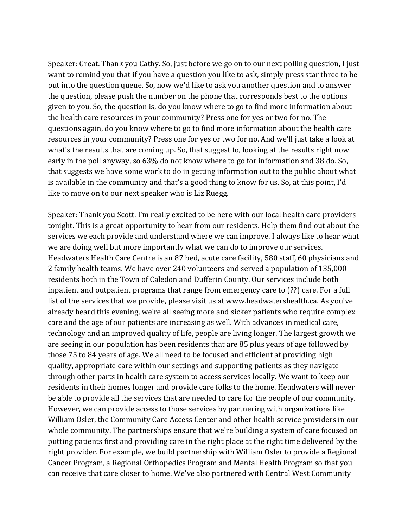Speaker: Great. Thank you Cathy. So, just before we go on to our next polling question, I just want to remind you that if you have a question you like to ask, simply press star three to be put into the question queue. So, now we'd like to ask you another question and to answer the question, please push the number on the phone that corresponds best to the options given to you. So, the question is, do you know where to go to find more information about the health care resources in your community? Press one for yes or two for no. The questions again, do you know where to go to find more information about the health care resources in your community? Press one for yes or two for no. And we'll just take a look at what's the results that are coming up. So, that suggest to, looking at the results right now early in the poll anyway, so 63% do not know where to go for information and 38 do. So, that suggests we have some work to do in getting information out to the public about what is available in the community and that's a good thing to know for us. So, at this point, I'd like to move on to our next speaker who is Liz Ruegg.

Speaker: Thank you Scott. I'm really excited to be here with our local health care providers tonight. This is a great opportunity to hear from our residents. Help them find out about the services we each provide and understand where we can improve. I always like to hear what we are doing well but more importantly what we can do to improve our services. Headwaters Health Care Centre is an 87 bed, acute care facility, 580 staff, 60 physicians and 2 family health teams. We have over 240 volunteers and served a population of 135,000 residents both in the Town of Caledon and Dufferin County. Our services include both inpatient and outpatient programs that range from emergency care to (??) care. For a full list of the services that we provide, please visit us at www.headwatershealth.ca. As you've already heard this evening, we're all seeing more and sicker patients who require complex care and the age of our patients are increasing as well. With advances in medical care, technology and an improved quality of life, people are living longer. The largest growth we are seeing in our population has been residents that are 85 plus years of age followed by those 75 to 84 years of age. We all need to be focused and efficient at providing high quality, appropriate care within our settings and supporting patients as they navigate through other parts in health care system to access services locally. We want to keep our residents in their homes longer and provide care folks to the home. Headwaters will never be able to provide all the services that are needed to care for the people of our community. However, we can provide access to those services by partnering with organizations like William Osler, the Community Care Access Center and other health service providers in our whole community. The partnerships ensure that we're building a system of care focused on putting patients first and providing care in the right place at the right time delivered by the right provider. For example, we build partnership with William Osler to provide a Regional Cancer Program, a Regional Orthopedics Program and Mental Health Program so that you can receive that care closer to home. We've also partnered with Central West Community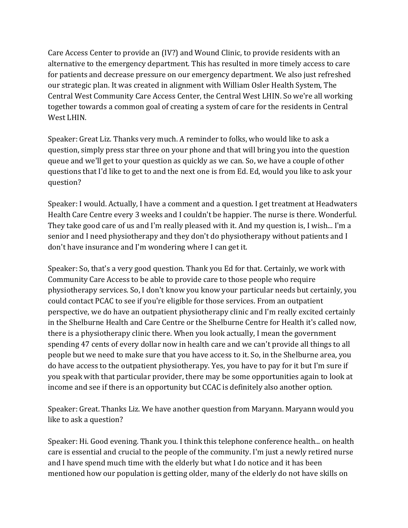Care Access Center to provide an (IV?) and Wound Clinic, to provide residents with an alternative to the emergency department. This has resulted in more timely access to care for patients and decrease pressure on our emergency department. We also just refreshed our strategic plan. It was created in alignment with William Osler Health System, The Central West Community Care Access Center, the Central West LHIN. So we're all working together towards a common goal of creating a system of care for the residents in Central West LHIN.

Speaker: Great Liz. Thanks very much. A reminder to folks, who would like to ask a question, simply press star three on your phone and that will bring you into the question queue and we'll get to your question as quickly as we can. So, we have a couple of other questions that I'd like to get to and the next one is from Ed. Ed, would you like to ask your question?

Speaker: I would. Actually, I have a comment and a question. I get treatment at Headwaters Health Care Centre every 3 weeks and I couldn't be happier. The nurse is there. Wonderful. They take good care of us and I'm really pleased with it. And my question is, I wish... I'm a senior and I need physiotherapy and they don't do physiotherapy without patients and I don't have insurance and I'm wondering where I can get it.

Speaker: So, that's a very good question. Thank you Ed for that. Certainly, we work with Community Care Access to be able to provide care to those people who require physiotherapy services. So, I don't know you know your particular needs but certainly, you could contact PCAC to see if you're eligible for those services. From an outpatient perspective, we do have an outpatient physiotherapy clinic and I'm really excited certainly in the Shelburne Health and Care Centre or the Shelburne Centre for Health it's called now, there is a physiotherapy clinic there. When you look actually, I mean the government spending 47 cents of every dollar now in health care and we can't provide all things to all people but we need to make sure that you have access to it. So, in the Shelburne area, you do have access to the outpatient physiotherapy. Yes, you have to pay for it but I'm sure if you speak with that particular provider, there may be some opportunities again to look at income and see if there is an opportunity but CCAC is definitely also another option.

Speaker: Great. Thanks Liz. We have another question from Maryann. Maryann would you like to ask a question?

Speaker: Hi. Good evening. Thank you. I think this telephone conference health... on health care is essential and crucial to the people of the community. I'm just a newly retired nurse and I have spend much time with the elderly but what I do notice and it has been mentioned how our population is getting older, many of the elderly do not have skills on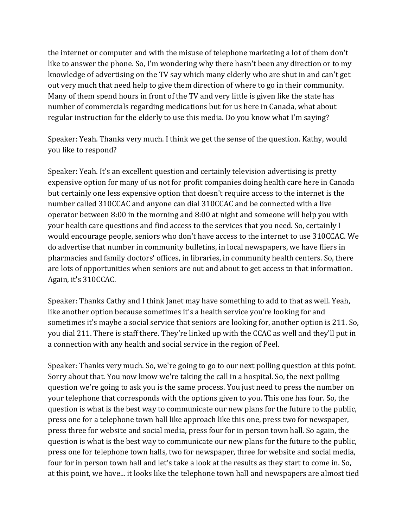the internet or computer and with the misuse of telephone marketing a lot of them don't like to answer the phone. So, I'm wondering why there hasn't been any direction or to my knowledge of advertising on the TV say which many elderly who are shut in and can't get out very much that need help to give them direction of where to go in their community. Many of them spend hours in front of the TV and very little is given like the state has number of commercials regarding medications but for us here in Canada, what about regular instruction for the elderly to use this media. Do you know what I'm saying?

Speaker: Yeah. Thanks very much. I think we get the sense of the question. Kathy, would you like to respond?

Speaker: Yeah. It's an excellent question and certainly television advertising is pretty expensive option for many of us not for profit companies doing health care here in Canada but certainly one less expensive option that doesn't require access to the internet is the number called 310CCAC and anyone can dial 310CCAC and be connected with a live operator between 8:00 in the morning and 8:00 at night and someone will help you with your health care questions and find access to the services that you need. So, certainly I would encourage people, seniors who don't have access to the internet to use 310CCAC. We do advertise that number in community bulletins, in local newspapers, we have fliers in pharmacies and family doctors' offices, in libraries, in community health centers. So, there are lots of opportunities when seniors are out and about to get access to that information. Again, it's 310CCAC.

Speaker: Thanks Cathy and I think Janet may have something to add to that as well. Yeah, like another option because sometimes it's a health service you're looking for and sometimes it's maybe a social service that seniors are looking for, another option is 211. So, you dial 211. There is staff there. They're linked up with the CCAC as well and they'll put in a connection with any health and social service in the region of Peel.

Speaker: Thanks very much. So, we're going to go to our next polling question at this point. Sorry about that. You now know we're taking the call in a hospital. So, the next polling question we're going to ask you is the same process. You just need to press the number on your telephone that corresponds with the options given to you. This one has four. So, the question is what is the best way to communicate our new plans for the future to the public, press one for a telephone town hall like approach like this one, press two for newspaper, press three for website and social media, press four for in person town hall. So again, the question is what is the best way to communicate our new plans for the future to the public, press one for telephone town halls, two for newspaper, three for website and social media, four for in person town hall and let's take a look at the results as they start to come in. So, at this point, we have... it looks like the telephone town hall and newspapers are almost tied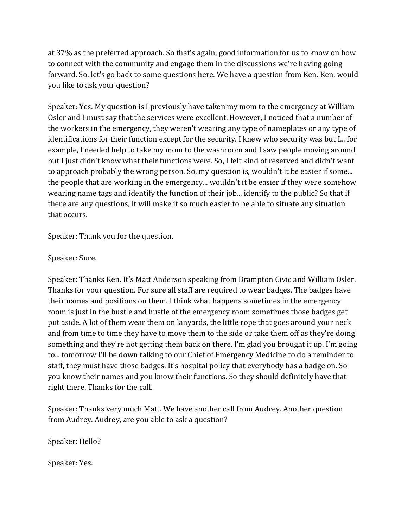at 37% as the preferred approach. So that's again, good information for us to know on how to connect with the community and engage them in the discussions we're having going forward. So, let's go back to some questions here. We have a question from Ken. Ken, would you like to ask your question?

Speaker: Yes. My question is I previously have taken my mom to the emergency at William Osler and I must say that the services were excellent. However, I noticed that a number of the workers in the emergency, they weren't wearing any type of nameplates or any type of identifications for their function except for the security. I knew who security was but I... for example, I needed help to take my mom to the washroom and I saw people moving around but I just didn't know what their functions were. So, I felt kind of reserved and didn't want to approach probably the wrong person. So, my question is, wouldn't it be easier if some... the people that are working in the emergency... wouldn't it be easier if they were somehow wearing name tags and identify the function of their job... identify to the public? So that if there are any questions, it will make it so much easier to be able to situate any situation that occurs.

Speaker: Thank you for the question.

Speaker: Sure.

Speaker: Thanks Ken. It's Matt Anderson speaking from Brampton Civic and William Osler. Thanks for your question. For sure all staff are required to wear badges. The badges have their names and positions on them. I think what happens sometimes in the emergency room is just in the bustle and hustle of the emergency room sometimes those badges get put aside. A lot of them wear them on lanyards, the little rope that goes around your neck and from time to time they have to move them to the side or take them off as they're doing something and they're not getting them back on there. I'm glad you brought it up. I'm going to... tomorrow I'll be down talking to our Chief of Emergency Medicine to do a reminder to staff, they must have those badges. It's hospital policy that everybody has a badge on. So you know their names and you know their functions. So they should definitely have that right there. Thanks for the call.

Speaker: Thanks very much Matt. We have another call from Audrey. Another question from Audrey. Audrey, are you able to ask a question?

Speaker: Hello?

Speaker: Yes.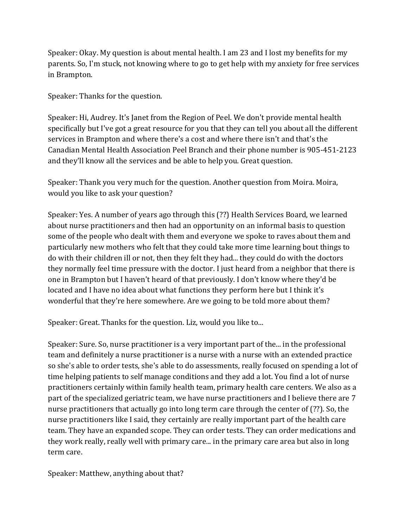Speaker: Okay. My question is about mental health. I am 23 and I lost my benefits for my parents. So, I'm stuck, not knowing where to go to get help with my anxiety for free services in Brampton.

Speaker: Thanks for the question.

Speaker: Hi, Audrey. It's Janet from the Region of Peel. We don't provide mental health specifically but I've got a great resource for you that they can tell you about all the different services in Brampton and where there's a cost and where there isn't and that's the Canadian Mental Health Association Peel Branch and their phone number is 905-451-2123 and they'll know all the services and be able to help you. Great question.

Speaker: Thank you very much for the question. Another question from Moira. Moira, would you like to ask your question?

Speaker: Yes. A number of years ago through this (??) Health Services Board, we learned about nurse practitioners and then had an opportunity on an informal basis to question some of the people who dealt with them and everyone we spoke to raves about them and particularly new mothers who felt that they could take more time learning bout things to do with their children ill or not, then they felt they had... they could do with the doctors they normally feel time pressure with the doctor. I just heard from a neighbor that there is one in Brampton but I haven't heard of that previously. I don't know where they'd be located and I have no idea about what functions they perform here but I think it's wonderful that they're here somewhere. Are we going to be told more about them?

Speaker: Great. Thanks for the question. Liz, would you like to...

Speaker: Sure. So, nurse practitioner is a very important part of the... in the professional team and definitely a nurse practitioner is a nurse with a nurse with an extended practice so she's able to order tests, she's able to do assessments, really focused on spending a lot of time helping patients to self manage conditions and they add a lot. You find a lot of nurse practitioners certainly within family health team, primary health care centers. We also as a part of the specialized geriatric team, we have nurse practitioners and I believe there are 7 nurse practitioners that actually go into long term care through the center of (??). So, the nurse practitioners like I said, they certainly are really important part of the health care team. They have an expanded scope. They can order tests. They can order medications and they work really, really well with primary care... in the primary care area but also in long term care.

Speaker: Matthew, anything about that?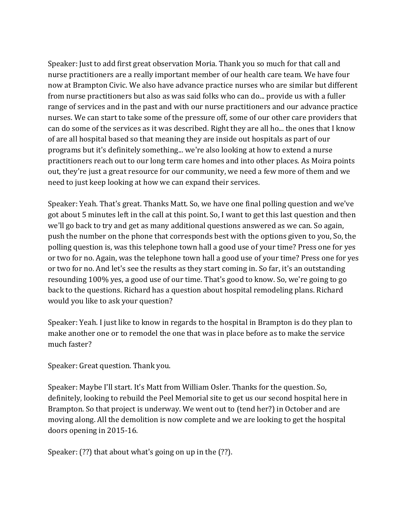Speaker: Just to add first great observation Moria. Thank you so much for that call and nurse practitioners are a really important member of our health care team. We have four now at Brampton Civic. We also have advance practice nurses who are similar but different from nurse practitioners but also as was said folks who can do... provide us with a fuller range of services and in the past and with our nurse practitioners and our advance practice nurses. We can start to take some of the pressure off, some of our other care providers that can do some of the services as it was described. Right they are all ho... the ones that I know of are all hospital based so that meaning they are inside out hospitals as part of our programs but it's definitely something... we're also looking at how to extend a nurse practitioners reach out to our long term care homes and into other places. As Moira points out, they're just a great resource for our community, we need a few more of them and we need to just keep looking at how we can expand their services.

Speaker: Yeah. That's great. Thanks Matt. So, we have one final polling question and we've got about 5 minutes left in the call at this point. So, I want to get this last question and then we'll go back to try and get as many additional questions answered as we can. So again, push the number on the phone that corresponds best with the options given to you, So, the polling question is, was this telephone town hall a good use of your time? Press one for yes or two for no. Again, was the telephone town hall a good use of your time? Press one for yes or two for no. And let's see the results as they start coming in. So far, it's an outstanding resounding 100% yes, a good use of our time. That's good to know. So, we're going to go back to the questions. Richard has a question about hospital remodeling plans. Richard would you like to ask your question?

Speaker: Yeah. I just like to know in regards to the hospital in Brampton is do they plan to make another one or to remodel the one that was in place before as to make the service much faster?

Speaker: Great question. Thank you.

Speaker: Maybe I'll start. It's Matt from William Osler. Thanks for the question. So, definitely, looking to rebuild the Peel Memorial site to get us our second hospital here in Brampton. So that project is underway. We went out to (tend her?) in October and are moving along. All the demolition is now complete and we are looking to get the hospital doors opening in 2015-16.

Speaker: (??) that about what's going on up in the (??).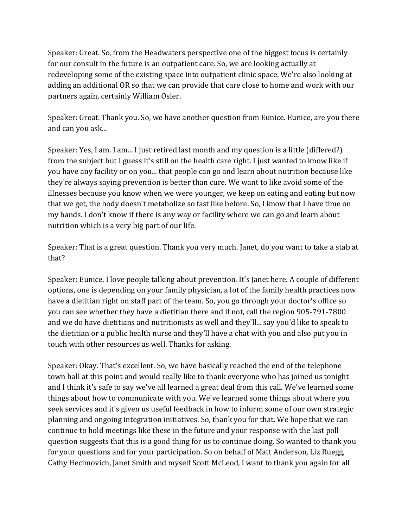Speaker: Great. So, from the Headwaters perspective one of the biggest focus is certainly for our consult in the future is an outpatient care. So, we are looking actually at redeveloping some of the existing space into outpatient clinic space. We're also looking at adding an additional OR so that we can provide that care close to home and work with our partners again, certainly William Osler.

Speaker: Great. Thank you. So, we have another question from Eunice. Eunice, are you there and can you ask...

Speaker: Yes, I am. I am... I just retired last month and my question is a little (differed?) from the subject but I guess it's still on the health care right. I just wanted to know like if you have any facility or on you... that people can go and learn about nutrition because like they're always saying prevention is better than cure. We want to like avoid some of the illnesses because you know when we were younger, we keep on eating and eating but now that we get, the body doesn't metabolize so fast like before. So, I know that I have time on my hands. I don't know if there is any way or facility where we can go and learn about nutrition which is a very big part of our life.

Speaker: That is a great question. Thank you very much. Janet, do you want to take a stab at that?

Speaker: Eunice, I love people talking about prevention. It's Janet here. A couple of different options, one is depending on your family physician, a lot of the family health practices now have a dietitian right on staff part of the team. So, you go through your doctor's office so you can see whether they have a dietitian there and if not, call the region 905-791-7800 and we do have dietitians and nutritionists as well and they'll... say you'd like to speak to the dietitian or a public health nurse and they'll have a chat with you and also put you in touch with other resources as well. Thanks for asking.

Speaker: Okay. That's excellent. So, we have basically reached the end of the telephone town hall at this point and would really like to thank everyone who has joined us tonight and I think it's safe to say we've all learned a great deal from this call. We've learned some things about how to communicate with you. We've learned some things about where you seek services and it's given us useful feedback in how to inform some of our own strategic planning and ongoing integration initiatives. So, thank you for that. We hope that we can continue to hold meetings like these in the future and your response with the last poll question suggests that this is a good thing for us to continue doing. So wanted to thank you for your questions and for your participation. So on behalf of Matt Anderson, Liz Ruegg, Cathy Hecimovich, Janet Smith and myself Scott McLeod, I want to thank you again for all